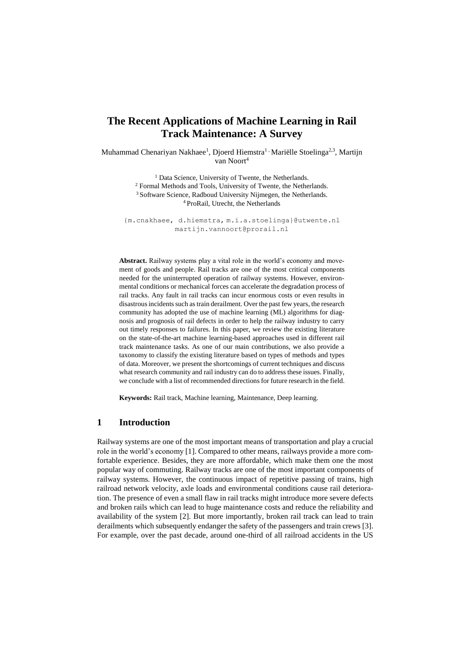# **The Recent Applications of Machine Learning in Rail Track Maintenance: A Survey**

Muhammad Chenariyan Nakhaee<sup>1</sup>, Djoerd Hiemstra<sup>1,</sup> Mariëlle Stoelinga<sup>2,3</sup>, Martijn van Noort<sup>4</sup>

> <sup>1</sup> Data Science, University of Twente, the Netherlands. <sup>2</sup> Formal Methods and Tools, University of Twente, the Netherlands. <sup>3</sup> Software Science, Radboud University Nijmegen, the Netherlands. <sup>4</sup> ProRail, Utrecht, the Netherlands

{m.cnakhaee, d.hiemstra, [m.i.a.stoelinga}@utwente.nl](mailto:m.i.a.stoelinga%7d@utwente.nl) martijn.vannoort@prorail.nl

**Abstract.** Railway systems play a vital role in the world's economy and movement of goods and people. Rail tracks are one of the most critical components needed for the uninterrupted operation of railway systems. However, environmental conditions or mechanical forces can accelerate the degradation process of rail tracks. Any fault in rail tracks can incur enormous costs or even results in disastrous incidents such as train derailment. Over the past few years, the research community has adopted the use of machine learning (ML) algorithms for diagnosis and prognosis of rail defects in order to help the railway industry to carry out timely responses to failures. In this paper, we review the existing literature on the state-of-the-art machine learning-based approaches used in different rail track maintenance tasks. As one of our main contributions, we also provide a taxonomy to classify the existing literature based on types of methods and types of data. Moreover, we present the shortcomings of current techniques and discuss what research community and rail industry can do to address these issues. Finally, we conclude with a list of recommended directions for future research in the field.

**Keywords:** Rail track, Machine learning, Maintenance, Deep learning.

### **1 Introduction**

Railway systems are one of the most important means of transportation and play a crucial role in the world's economy [1]. Compared to other means, railways provide a more comfortable experience. Besides, they are more affordable, which make them one the most popular way of commuting. Railway tracks are one of the most important components of railway systems. However, the continuous impact of repetitive passing of trains, high railroad network velocity, axle loads and environmental conditions cause rail deterioration. The presence of even a small flaw in rail tracks might introduce more severe defects and broken rails which can lead to huge maintenance costs and reduce the reliability and availability of the system [2]. But more importantly, broken rail track can lead to train derailments which subsequently endanger the safety of the passengers and train crews [3]. For example, over the past decade, around one-third of all railroad accidents in the US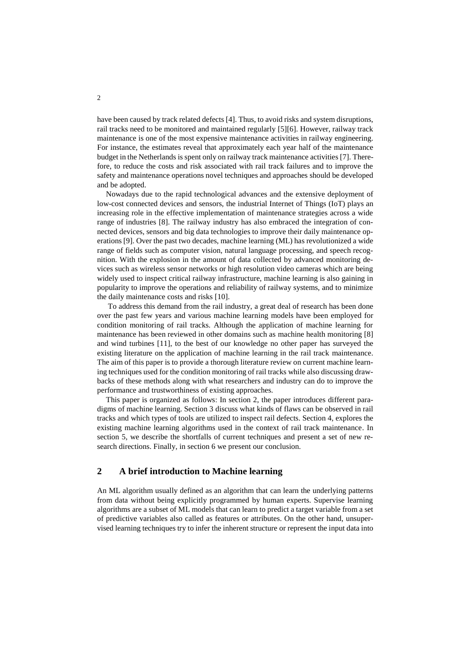have been caused by track related defects [4]. Thus, to avoid risks and system disruptions, rail tracks need to be monitored and maintained regularly [5][6]. However, railway track maintenance is one of the most expensive maintenance activities in railway engineering. For instance, the estimates reveal that approximately each year half of the maintenance budget in the Netherlands is spent only on railway track maintenance activities [7]. Therefore, to reduce the costs and risk associated with rail track failures and to improve the safety and maintenance operations novel techniques and approaches should be developed and be adopted.

Nowadays due to the rapid technological advances and the extensive deployment of low-cost connected devices and sensors, the industrial Internet of Things (IoT) plays an increasing role in the effective implementation of maintenance strategies across a wide range of industries [8]. The railway industry has also embraced the integration of connected devices, sensors and big data technologies to improve their daily maintenance operations [9]. Over the past two decades, machine learning (ML) has revolutionized a wide range of fields such as computer vision, natural language processing, and speech recognition. With the explosion in the amount of data collected by advanced monitoring devices such as wireless sensor networks or high resolution video cameras which are being widely used to inspect critical railway infrastructure, machine learning is also gaining in popularity to improve the operations and reliability of railway systems, and to minimize the daily maintenance costs and risks [10].

To address this demand from the rail industry, a great deal of research has been done over the past few years and various machine learning models have been employed for condition monitoring of rail tracks. Although the application of machine learning for maintenance has been reviewed in other domains such as machine health monitoring [8] and wind turbines [11], to the best of our knowledge no other paper has surveyed the existing literature on the application of machine learning in the rail track maintenance. The aim of this paper is to provide a thorough literature review on current machine learning techniques used for the condition monitoring of rail tracks while also discussing drawbacks of these methods along with what researchers and industry can do to improve the performance and trustworthiness of existing approaches.

This paper is organized as follows: In section 2, the paper introduces different paradigms of machine learning. Section 3 discuss what kinds of flaws can be observed in rail tracks and which types of tools are utilized to inspect rail defects. Section 4, explores the existing machine learning algorithms used in the context of rail track maintenance. In section 5, we describe the shortfalls of current techniques and present a set of new research directions. Finally, in section 6 we present our conclusion.

# **2 A brief introduction to Machine learning**

An ML algorithm usually defined as an algorithm that can learn the underlying patterns from data without being explicitly programmed by human experts. Supervise learning algorithms are a subset of ML models that can learn to predict a target variable from a set of predictive variables also called as features or attributes. On the other hand, unsupervised learning techniques try to infer the inherent structure or represent the input data into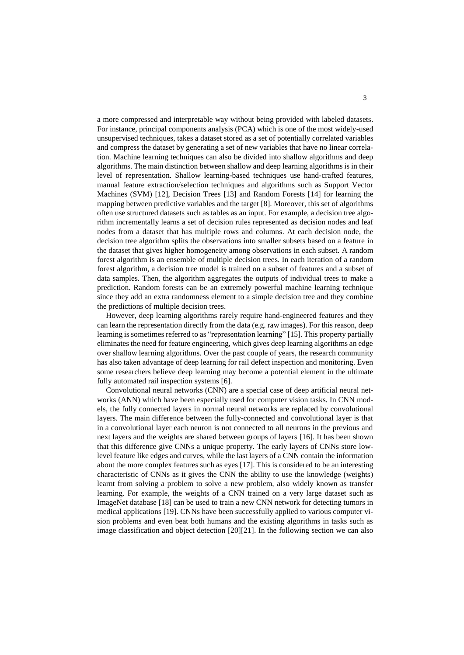a more compressed and interpretable way without being provided with labeled datasets. For instance, principal components analysis (PCA) which is one of the most widely-used unsupervised techniques, takes a dataset stored as a set of potentially correlated variables and compress the dataset by generating a set of new variables that have no linear correlation. Machine learning techniques can also be divided into shallow algorithms and deep algorithms. The main distinction between shallow and deep learning algorithms is in their level of representation. Shallow learning-based techniques use hand-crafted features, manual feature extraction/selection techniques and algorithms such as Support Vector Machines (SVM) [12], Decision Trees [13] and Random Forests [14] for learning the mapping between predictive variables and the target [8]. Moreover, this set of algorithms often use structured datasets such as tables as an input. For example, a decision tree algorithm incrementally learns a set of decision rules represented as decision nodes and leaf nodes from a dataset that has multiple rows and columns. At each decision node, the decision tree algorithm splits the observations into smaller subsets based on a feature in the dataset that gives higher homogeneity among observations in each subset. A random forest algorithm is an ensemble of multiple decision trees. In each iteration of a random forest algorithm, a decision tree model is trained on a subset of features and a subset of data samples. Then, the algorithm aggregates the outputs of individual trees to make a prediction. Random forests can be an extremely powerful machine learning technique since they add an extra randomness element to a simple decision tree and they combine the predictions of multiple decision trees.

However, deep learning algorithms rarely require hand-engineered features and they can learn the representation directly from the data (e.g. raw images). For this reason, deep learning is sometimes referred to as "representation learning" [15]. This property partially eliminates the need for feature engineering, which gives deep learning algorithms an edge over shallow learning algorithms. Over the past couple of years, the research community has also taken advantage of deep learning for rail defect inspection and monitoring. Even some researchers believe deep learning may become a potential element in the ultimate fully automated rail inspection systems [6].

Convolutional neural networks (CNN) are a special case of deep artificial neural networks (ANN) which have been especially used for computer vision tasks. In CNN models, the fully connected layers in normal neural networks are replaced by convolutional layers. The main difference between the fully-connected and convolutional layer is that in a convolutional layer each neuron is not connected to all neurons in the previous and next layers and the weights are shared between groups of layers [16]. It has been shown that this difference give CNNs a unique property. The early layers of CNNs store lowlevel feature like edges and curves, while the last layers of a CNN contain the information about the more complex features such as eyes [17]. This is considered to be an interesting characteristic of CNNs as it gives the CNN the ability to use the knowledge (weights) learnt from solving a problem to solve a new problem, also widely known as transfer learning. For example, the weights of a CNN trained on a very large dataset such as ImageNet database [18] can be used to train a new CNN network for detecting tumors in medical applications [19]. CNNs have been successfully applied to various computer vision problems and even beat both humans and the existing algorithms in tasks such as image classification and object detection [20][21]. In the following section we can also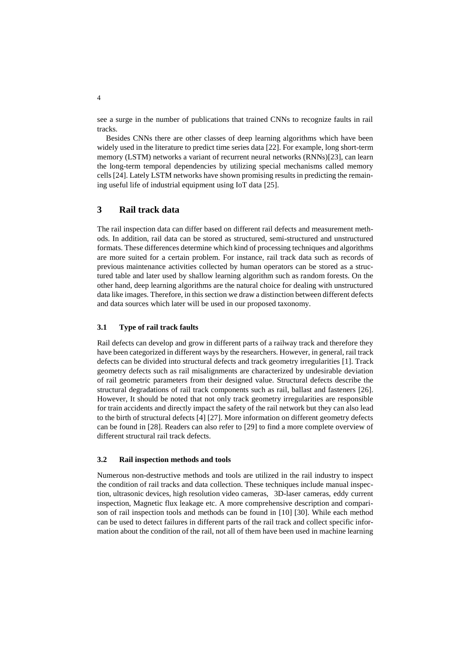see a surge in the number of publications that trained CNNs to recognize faults in rail tracks.

Besides CNNs there are other classes of deep learning algorithms which have been widely used in the literature to predict time series data [22]. For example, long short-term memory (LSTM) networks a variant of recurrent neural networks (RNNs)[23], can learn the long-term temporal dependencies by utilizing special mechanisms called memory cells [24]. Lately LSTM networks have shown promising results in predicting the remaining useful life of industrial equipment using IoT data [25].

# **3 Rail track data**

The rail inspection data can differ based on different rail defects and measurement methods. In addition, rail data can be stored as structured, semi-structured and unstructured formats. These differences determine which kind of processing techniques and algorithms are more suited for a certain problem. For instance, rail track data such as records of previous maintenance activities collected by human operators can be stored as a structured table and later used by shallow learning algorithm such as random forests. On the other hand, deep learning algorithms are the natural choice for dealing with unstructured data like images. Therefore, in this section we draw a distinction between different defects and data sources which later will be used in our proposed taxonomy.

### **3.1 Type of rail track faults**

Rail defects can develop and grow in different parts of a railway track and therefore they have been categorized in different ways by the researchers. However, in general, rail track defects can be divided into structural defects and track geometry irregularities [1]. Track geometry defects such as rail misalignments are characterized by undesirable deviation of rail geometric parameters from their designed value. Structural defects describe the structural degradations of rail track components such as rail, ballast and fasteners [26]. However, It should be noted that not only track geometry irregularities are responsible for train accidents and directly impact the safety of the rail network but they can also lead to the birth of structural defects [4] [27]. More information on different geometry defects can be found in [28]. Readers can also refer to [29] to find a more complete overview of different structural rail track defects.

#### **3.2 Rail inspection methods and tools**

Numerous non-destructive methods and tools are utilized in the rail industry to inspect the condition of rail tracks and data collection. These techniques include manual inspection, ultrasonic devices, high resolution video cameras, 3D-laser cameras, eddy current inspection, Magnetic flux leakage etc. A more comprehensive description and comparison of rail inspection tools and methods can be found in [10] [30]. While each method can be used to detect failures in different parts of the rail track and collect specific information about the condition of the rail, not all of them have been used in machine learning

4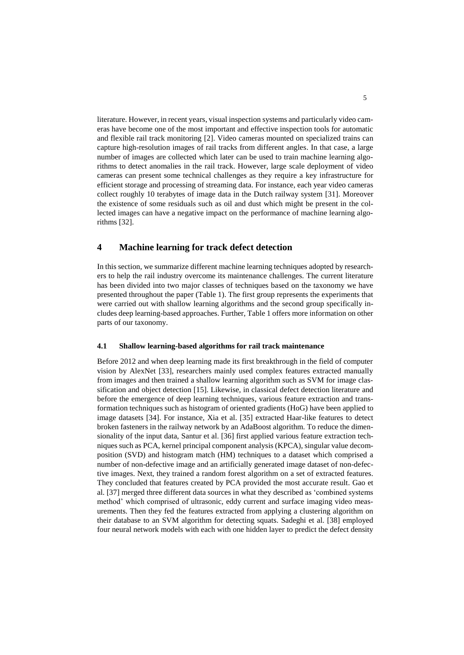literature. However, in recent years, visual inspection systems and particularly video cameras have become one of the most important and effective inspection tools for automatic and flexible rail track monitoring [2]. Video cameras mounted on specialized trains can capture high-resolution images of rail tracks from different angles. In that case, a large number of images are collected which later can be used to train machine learning algorithms to detect anomalies in the rail track. However, large scale deployment of video cameras can present some technical challenges as they require a key infrastructure for efficient storage and processing of streaming data. For instance, each year video cameras collect roughly 10 terabytes of image data in the Dutch railway system [31]. Moreover the existence of some residuals such as oil and dust which might be present in the collected images can have a negative impact on the performance of machine learning algorithms [32].

# **4 Machine learning for track defect detection**

In this section, we summarize different machine learning techniques adopted by researchers to help the rail industry overcome its maintenance challenges. The current literature has been divided into two major classes of techniques based on the taxonomy we have presented throughout the paper [\(Table 1\)](#page-7-0). The first group represents the experiments that were carried out with shallow learning algorithms and the second group specifically includes deep learning-based approaches. Further[, Table 1](#page-7-0) offers more information on other parts of our taxonomy.

### **4.1 Shallow learning-based algorithms for rail track maintenance**

Before 2012 and when deep learning made its first breakthrough in the field of computer vision by AlexNet [33], researchers mainly used complex features extracted manually from images and then trained a shallow learning algorithm such as SVM for image classification and object detection [15]. Likewise, in classical defect detection literature and before the emergence of deep learning techniques, various feature extraction and transformation techniques such as histogram of oriented gradients (HoG) have been applied to image datasets [34]. For instance, Xia et al. [35] extracted Haar-like features to detect broken fasteners in the railway network by an AdaBoost algorithm. To reduce the dimensionality of the input data, Santur et al. [36] first applied various feature extraction techniques such as PCA, kernel principal component analysis (KPCA), singular value decomposition (SVD) and histogram match (HM) techniques to a dataset which comprised a number of non-defective image and an artificially generated image dataset of non-defective images. Next, they trained a random forest algorithm on a set of extracted features. They concluded that features created by PCA provided the most accurate result. Gao et al. [37] merged three different data sources in what they described as 'combined systems method' which comprised of ultrasonic, eddy current and surface imaging video measurements. Then they fed the features extracted from applying a clustering algorithm on their database to an SVM algorithm for detecting squats. Sadeghi et al. [38] employed four neural network models with each with one hidden layer to predict the defect density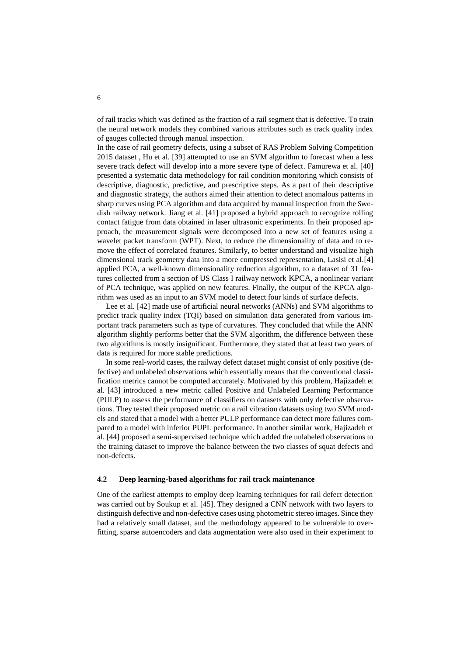of rail tracks which was defined as the fraction of a rail segment that is defective. To train the neural network models they combined various attributes such as track quality index of gauges collected through manual inspection.

In the case of rail geometry defects, using a subset of RAS Problem Solving Competition 2015 dataset , Hu et al. [39] attempted to use an SVM algorithm to forecast when a less severe track defect will develop into a more severe type of defect. Famurewa et al. [40] presented a systematic data methodology for rail condition monitoring which consists of descriptive, diagnostic, predictive, and prescriptive steps. As a part of their descriptive and diagnostic strategy, the authors aimed their attention to detect anomalous patterns in sharp curves using PCA algorithm and data acquired by manual inspection from the Swedish railway network. Jiang et al. [41] proposed a hybrid approach to recognize rolling contact fatigue from data obtained in laser ultrasonic experiments. In their proposed approach, the measurement signals were decomposed into a new set of features using a wavelet packet transform (WPT). Next, to reduce the dimensionality of data and to remove the effect of correlated features. Similarly, to better understand and visualize high dimensional track geometry data into a more compressed representation, Lasisi et al.[4] applied PCA, a well-known dimensionality reduction algorithm, to a dataset of 31 features collected from a section of US Class I railway network KPCA, a nonlinear variant of PCA technique, was applied on new features. Finally, the output of the KPCA algorithm was used as an input to an SVM model to detect four kinds of surface defects.

Lee et al. [42] made use of artificial neural networks (ANNs) and SVM algorithms to predict track quality index (TQI) based on simulation data generated from various important track parameters such as type of curvatures. They concluded that while the ANN algorithm slightly performs better that the SVM algorithm, the difference between these two algorithms is mostly insignificant. Furthermore, they stated that at least two years of data is required for more stable predictions.

In some real-world cases, the railway defect dataset might consist of only positive (defective) and unlabeled observations which essentially means that the conventional classification metrics cannot be computed accurately. Motivated by this problem, Hajizadeh et al. [43] introduced a new metric called Positive and Unlabeled Learning Performance (PULP) to assess the performance of classifiers on datasets with only defective observations. They tested their proposed metric on a rail vibration datasets using two SVM models and stated that a model with a better PULP performance can detect more failures compared to a model with inferior PUPL performance. In another similar work, Hajizadeh et al. [44] proposed a semi-supervised technique which added the unlabeled observations to the training dataset to improve the balance between the two classes of squat defects and non-defects.

#### **4.2 Deep learning-based algorithms for rail track maintenance**

One of the earliest attempts to employ deep learning techniques for rail defect detection was carried out by Soukup et al. [45]. They designed a CNN network with two layers to distinguish defective and non-defective cases using photometric stereo images. Since they had a relatively small dataset, and the methodology appeared to be vulnerable to overfitting, sparse autoencoders and data augmentation were also used in their experiment to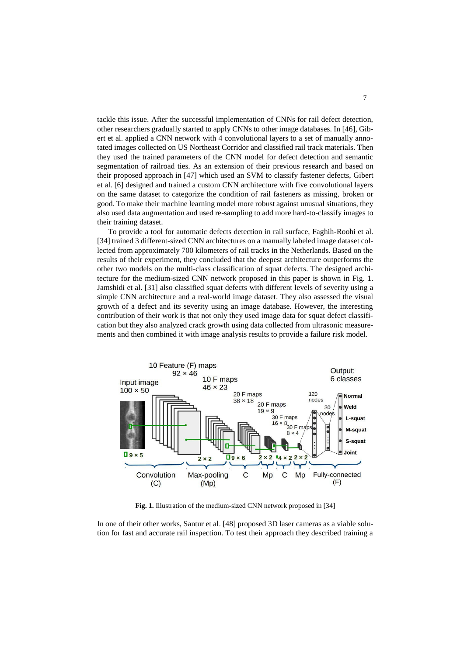tackle this issue. After the successful implementation of CNNs for rail defect detection, other researchers gradually started to apply CNNs to other image databases. In [46], Gibert et al. applied a CNN network with 4 convolutional layers to a set of manually annotated images collected on US Northeast Corridor and classified rail track materials. Then they used the trained parameters of the CNN model for defect detection and semantic segmentation of railroad ties. As an extension of their previous research and based on their proposed approach in [47] which used an SVM to classify fastener defects, Gibert et al. [6] designed and trained a custom CNN architecture with five convolutional layers on the same dataset to categorize the condition of rail fasteners as missing, broken or good. To make their machine learning model more robust against unusual situations, they also used data augmentation and used re-sampling to add more hard-to-classify images to their training dataset.

To provide a tool for automatic defects detection in rail surface, Faghih-Roohi et al. [34] trained 3 different-sized CNN architectures on a manually labeled image dataset collected from approximately 700 kilometers of rail tracks in the Netherlands. Based on the results of their experiment, they concluded that the deepest architecture outperforms the other two models on the multi-class classification of squat defects. The designed architecture for the medium-sized CNN network proposed in this paper is shown in [Fig. 1.](#page-6-0) Jamshidi et al. [31] also classified squat defects with different levels of severity using a simple CNN architecture and a real-world image dataset. They also assessed the visual growth of a defect and its severity using an image database. However, the interesting contribution of their work is that not only they used image data for squat defect classification but they also analyzed crack growth using data collected from ultrasonic measurements and then combined it with image analysis results to provide a failure risk model.



**Fig. 1.** Illustration of the medium-sized CNN network proposed in [34]

<span id="page-6-0"></span>In one of their other works, Santur et al. [48] proposed 3D laser cameras as a viable solution for fast and accurate rail inspection. To test their approach they described training a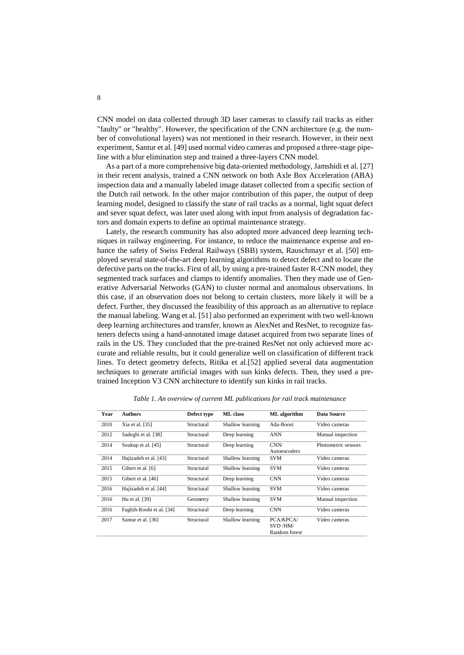CNN model on data collected through 3D laser cameras to classify rail tracks as either "faulty" or "healthy". However, the specification of the CNN architecture (e.g. the number of convolutional layers) was not mentioned in their research. However, in their next experiment, Santur et al. [49] used normal video cameras and proposed a three-stage pipeline with a blur elimination step and trained a three-layers CNN model.

As a part of a more comprehensive big data-oriented methodology, Jamshidi et al. [27] in their recent analysis, trained a CNN network on both Axle Box Acceleration (ABA) inspection data and a manually labeled image dataset collected from a specific section of the Dutch rail network. In the other major contribution of this paper, the output of deep learning model, designed to classify the state of rail tracks as a normal, light squat defect and sever squat defect, was later used along with input from analysis of degradation factors and domain experts to define an optimal maintenance strategy.

Lately, the research community has also adopted more advanced deep learning techniques in railway engineering. For instance, to reduce the maintenance expense and enhance the safety of Swiss Federal Railways (SBB) system, Rauschmayr et al. [50] employed several state-of-the-art deep learning algorithms to detect defect and to locate the defective parts on the tracks. First of all, by using a pre-trained faster R-CNN model, they segmented track surfaces and clamps to identify anomalies. Then they made use of Generative Adversarial Networks (GAN) to cluster normal and anomalous observations. In this case, if an observation does not belong to certain clusters, more likely it will be a defect. Further, they discussed the feasibility of this approach as an alternative to replace the manual labeling. Wang et al. [51] also performed an experiment with two well-known deep learning architectures and transfer, known as AlexNet and ResNet, to recognize fasteners defects using a hand-annotated image dataset acquired from two separate lines of rails in the US. They concluded that the pre-trained ResNet not only achieved more accurate and reliable results, but it could generalize well on classification of different track lines. To detect geometry defects, Ritika et al.[52] applied several data augmentation techniques to generate artificial images with sun kinks defects. Then, they used a pretrained Inception V3 CNN architecture to identify sun kinks in rail tracks.

<span id="page-7-0"></span>

| Year | <b>Authors</b>           | Defect type | <b>ML</b> class  | ML algorithm  | <b>Data Source</b>  |
|------|--------------------------|-------------|------------------|---------------|---------------------|
| 2010 | Xia et al. [35]          | Structural  | Shallow learning | Ada-Boost     | Video cameras       |
| 2012 | Sadeghi et al. [38]      | Structural  | Deep learning    | <b>ANN</b>    | Manual inspection   |
| 2014 | Soukup et al. [45]       | Structural  | Deep learning    | CNN/          | Photometric sensors |
|      |                          |             |                  | Autoencoders  |                     |
| 2014 | Hajizadeh et al. [43]    | Structural  | Shallow learning | <b>SVM</b>    | Video cameras       |
| 2015 | Gibert et al. [6]        | Structural  | Shallow learning | <b>SVM</b>    | Video cameras       |
| 2015 | Gibert et al. [46]       | Structural  | Deep learning    | <b>CNN</b>    | Video cameras       |
| 2016 | Hajizadeh et al. [44]    | Structural  | Shallow learning | <b>SVM</b>    | Video cameras       |
| 2016 | Hu et al. [39]           | Geometry    | Shallow learning | <b>SVM</b>    | Manual inspection   |
| 2016 | Faghih-Roohi et al. [34] | Structural  | Deep learning    | <b>CNN</b>    | Video cameras       |
| 2017 | Santur et al. [36]       | Structural  | Shallow learning | PCA/KPCA/     | Video cameras       |
|      |                          |             |                  | SVD/HM/       |                     |
|      |                          |             |                  | Random forest |                     |
|      |                          |             |                  |               |                     |

*Table 1. An overview of current ML publications for rail track maintenance*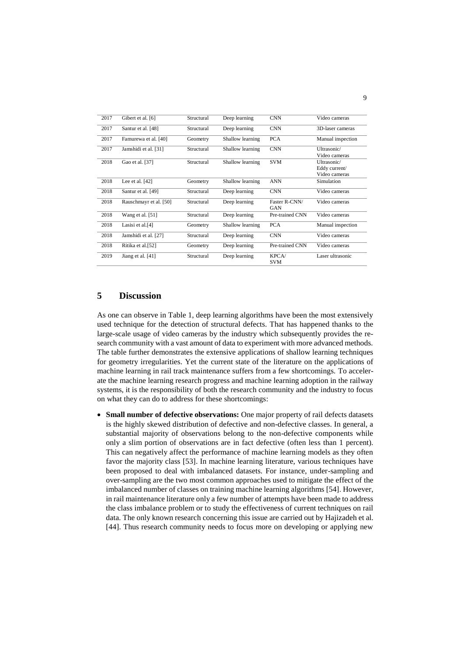| 2017 | Gibert et al. [6]            | Structural | Deep learning    | <b>CNN</b>                | Video cameras                                 |
|------|------------------------------|------------|------------------|---------------------------|-----------------------------------------------|
| 2017 | Santur et al. [48]           | Structural | Deep learning    | <b>CNN</b>                | 3D-laser cameras                              |
| 2017 | Famurewa et al. [40]         | Geometry   | Shallow learning | <b>PCA</b>                | Manual inspection                             |
| 2017 | Jamshidi et al. [31]         | Structural | Shallow learning | <b>CNN</b>                | Ultrasonic/<br>Video cameras                  |
| 2018 | Gao et al. [37]              | Structural | Shallow learning | <b>SVM</b>                | Ultrasonic/<br>Eddy current/<br>Video cameras |
| 2018 | Lee et al. $[42]$            | Geometry   | Shallow learning | <b>ANN</b>                | Simulation                                    |
| 2018 | Santur et al. [49]           | Structural | Deep learning    | <b>CNN</b>                | Video cameras                                 |
| 2018 | Rauschmayr et al. [50]       | Structural | Deep learning    | Faster R-CNN/<br>GAN      | Video cameras                                 |
| 2018 | Wang et al. [51]             | Structural | Deep learning    | Pre-trained CNN           | Video cameras                                 |
| 2018 | Lasisi et al. <sup>[4]</sup> | Geometry   | Shallow learning | <b>PCA</b>                | Manual inspection                             |
| 2018 | Jamshidi et al. [27]         | Structural | Deep learning    | <b>CNN</b>                | Video cameras                                 |
| 2018 | Ritika et al.[52]            | Geometry   | Deep learning    | Pre-trained CNN           | Video cameras                                 |
| 2019 | Jiang et al. [41]            | Structural | Deep learning    | <b>KPCA</b><br><b>SVM</b> | Laser ultrasonic                              |

# **5 Discussion**

As one can observe in [Table 1,](#page-7-0) deep learning algorithms have been the most extensively used technique for the detection of structural defects. That has happened thanks to the large-scale usage of video cameras by the industry which subsequently provides the research community with a vast amount of data to experiment with more advanced methods. The table further demonstrates the extensive applications of shallow learning techniques for geometry irregularities. Yet the current state of the literature on the applications of machine learning in rail track maintenance suffers from a few shortcomings. To accelerate the machine learning research progress and machine learning adoption in the railway systems, it is the responsibility of both the research community and the industry to focus on what they can do to address for these shortcomings:

 **Small number of defective observations:** One major property of rail defects datasets is the highly skewed distribution of defective and non-defective classes. In general, a substantial majority of observations belong to the non-defective components while only a slim portion of observations are in fact defective (often less than 1 percent). This can negatively affect the performance of machine learning models as they often favor the majority class [53]. In machine learning literature, various techniques have been proposed to deal with imbalanced datasets. For instance, under-sampling and over-sampling are the two most common approaches used to mitigate the effect of the imbalanced number of classes on training machine learning algorithms [54]. However, in rail maintenance literature only a few number of attempts have been made to address the class imbalance problem or to study the effectiveness of current techniques on rail data. The only known research concerning this issue are carried out by Hajizadeh et al. [44]. Thus research community needs to focus more on developing or applying new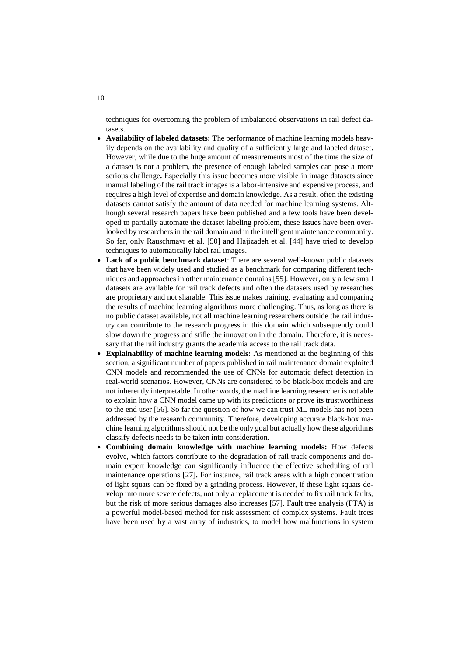techniques for overcoming the problem of imbalanced observations in rail defect datasets.

- **Availability of labeled datasets:** The performance of machine learning models heavily depends on the availability and quality of a sufficiently large and labeled dataset**.**  However, while due to the huge amount of measurements most of the time the size of a dataset is not a problem, the presence of enough labeled samples can pose a more serious challenge**.** Especially this issue becomes more visible in image datasets since manual labeling of the rail track images is a labor-intensive and expensive process, and requires a high level of expertise and domain knowledge. As a result, often the existing datasets cannot satisfy the amount of data needed for machine learning systems. Although several research papers have been published and a few tools have been developed to partially automate the dataset labeling problem, these issues have been overlooked by researchers in the rail domain and in the intelligent maintenance community. So far, only Rauschmayr et al. [50] and Hajizadeh et al. [44] have tried to develop techniques to automatically label rail images.
- **Lack of a public benchmark dataset**: There are several well-known public datasets that have been widely used and studied as a benchmark for comparing different techniques and approaches in other maintenance domains [55]. However, only a few small datasets are available for rail track defects and often the datasets used by researches are proprietary and not sharable. This issue makes training, evaluating and comparing the results of machine learning algorithms more challenging. Thus, as long as there is no public dataset available, not all machine learning researchers outside the rail industry can contribute to the research progress in this domain which subsequently could slow down the progress and stifle the innovation in the domain. Therefore, it is necessary that the rail industry grants the academia access to the rail track data.
- **Explainability of machine learning models:** As mentioned at the beginning of this section, a significant number of papers published in rail maintenance domain exploited CNN models and recommended the use of CNNs for automatic defect detection in real-world scenarios. However, CNNs are considered to be black-box models and are not inherently interpretable. In other words, the machine learning researcher is not able to explain how a CNN model came up with its predictions or prove its trustworthiness to the end user [56]. So far the question of how we can trust ML models has not been addressed by the research community. Therefore, developing accurate black-box machine learning algorithms should not be the only goal but actually how these algorithms classify defects needs to be taken into consideration.
- **Combining domain knowledge with machine learning models:** How defects evolve, which factors contribute to the degradation of rail track components and domain expert knowledge can significantly influence the effective scheduling of rail maintenance operations [27]**.** For instance, rail track areas with a high concentration of light squats can be fixed by a grinding process. However, if these light squats develop into more severe defects, not only a replacement is needed to fix rail track faults, but the risk of more serious damages also increases [57]. Fault tree analysis (FTA) is a powerful model-based method for risk assessment of complex systems. Fault trees have been used by a vast array of industries, to model how malfunctions in system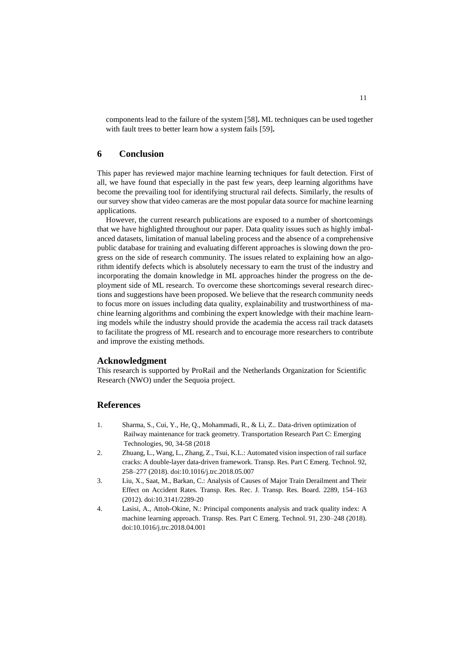components lead to the failure of the system [58]**.** ML techniques can be used together with fault trees to better learn how a system fails [59]**.**

# **6 Conclusion**

This paper has reviewed major machine learning techniques for fault detection. First of all, we have found that especially in the past few years, deep learning algorithms have become the prevailing tool for identifying structural rail defects. Similarly, the results of our survey show that video cameras are the most popular data source for machine learning applications.

However, the current research publications are exposed to a number of shortcomings that we have highlighted throughout our paper. Data quality issues such as highly imbalanced datasets, limitation of manual labeling process and the absence of a comprehensive public database for training and evaluating different approaches is slowing down the progress on the side of research community. The issues related to explaining how an algorithm identify defects which is absolutely necessary to earn the trust of the industry and incorporating the domain knowledge in ML approaches hinder the progress on the deployment side of ML research. To overcome these shortcomings several research directions and suggestions have been proposed. We believe that the research community needs to focus more on issues including data quality, explainability and trustworthiness of machine learning algorithms and combining the expert knowledge with their machine learning models while the industry should provide the academia the access rail track datasets to facilitate the progress of ML research and to encourage more researchers to contribute and improve the existing methods.

#### **Acknowledgment**

This research is supported by ProRail and the Netherlands Organization for Scientific Research (NWO) under the Sequoia project.

# **References**

- 1. Sharma, S., Cui, Y., He, Q., Mohammadi, R., & Li, Z.. Data-driven optimization of Railway maintenance for track geometry. Transportation Research Part C: Emerging Technologies, 90, 34-58 (2018
- 2. Zhuang, L., Wang, L., Zhang, Z., Tsui, K.L.: Automated vision inspection of rail surface cracks: A double-layer data-driven framework. Transp. Res. Part C Emerg. Technol. 92, 258–277 (2018). doi:10.1016/j.trc.2018.05.007
- 3. Liu, X., Saat, M., Barkan, C.: Analysis of Causes of Major Train Derailment and Their Effect on Accident Rates. Transp. Res. Rec. J. Transp. Res. Board. 2289, 154–163 (2012). doi:10.3141/2289-20
- 4. Lasisi, A., Attoh-Okine, N.: Principal components analysis and track quality index: A machine learning approach. Transp. Res. Part C Emerg. Technol. 91, 230–248 (2018). doi:10.1016/j.trc.2018.04.001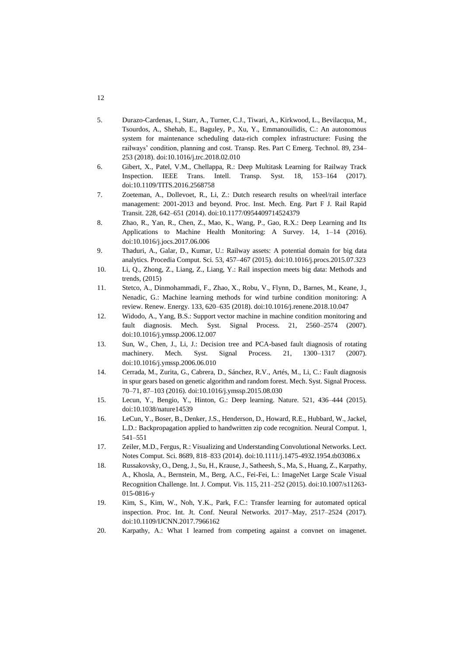- 5. Durazo-Cardenas, I., Starr, A., Turner, C.J., Tiwari, A., Kirkwood, L., Bevilacqua, M., Tsourdos, A., Shehab, E., Baguley, P., Xu, Y., Emmanouilidis, C.: An autonomous system for maintenance scheduling data-rich complex infrastructure: Fusing the railways' condition, planning and cost. Transp. Res. Part C Emerg. Technol. 89, 234– 253 (2018). doi:10.1016/j.trc.2018.02.010
- 6. Gibert, X., Patel, V.M., Chellappa, R.: Deep Multitask Learning for Railway Track Inspection. IEEE Trans. Intell. Transp. Syst. 18, 153–164 (2017). doi:10.1109/TITS.2016.2568758
- 7. Zoeteman, A., Dollevoet, R., Li, Z.: Dutch research results on wheel/rail interface management: 2001-2013 and beyond. Proc. Inst. Mech. Eng. Part F J. Rail Rapid Transit. 228, 642–651 (2014). doi:10.1177/0954409714524379
- 8. Zhao, R., Yan, R., Chen, Z., Mao, K., Wang, P., Gao, R.X.: Deep Learning and Its Applications to Machine Health Monitoring: A Survey. 14, 1–14 (2016). doi:10.1016/j.jocs.2017.06.006
- 9. Thaduri, A., Galar, D., Kumar, U.: Railway assets: A potential domain for big data analytics. Procedia Comput. Sci. 53, 457–467 (2015). doi:10.1016/j.procs.2015.07.323
- 10. Li, Q., Zhong, Z., Liang, Z., Liang, Y.: Rail inspection meets big data: Methods and trends, (2015)
- 11. Stetco, A., Dinmohammadi, F., Zhao, X., Robu, V., Flynn, D., Barnes, M., Keane, J., Nenadic, G.: Machine learning methods for wind turbine condition monitoring: A review. Renew. Energy. 133, 620–635 (2018). doi:10.1016/j.renene.2018.10.047
- 12. Widodo, A., Yang, B.S.: Support vector machine in machine condition monitoring and fault diagnosis. Mech. Syst. Signal Process. 21, 2560–2574 (2007). doi:10.1016/j.ymssp.2006.12.007
- 13. Sun, W., Chen, J., Li, J.: Decision tree and PCA-based fault diagnosis of rotating machinery. Mech. Syst. Signal Process. 21, 1300–1317 (2007). doi:10.1016/j.ymssp.2006.06.010
- 14. Cerrada, M., Zurita, G., Cabrera, D., Sánchez, R.V., Artés, M., Li, C.: Fault diagnosis in spur gears based on genetic algorithm and random forest. Mech. Syst. Signal Process. 70–71, 87–103 (2016). doi:10.1016/j.ymssp.2015.08.030
- 15. Lecun, Y., Bengio, Y., Hinton, G.: Deep learning. Nature. 521, 436–444 (2015). doi:10.1038/nature14539
- 16. LeCun, Y., Boser, B., Denker, J.S., Henderson, D., Howard, R.E., Hubbard, W., Jackel, L.D.: Backpropagation applied to handwritten zip code recognition. Neural Comput. 1, 541–551
- 17. Zeiler, M.D., Fergus, R.: Visualizing and Understanding Convolutional Networks. Lect. Notes Comput. Sci. 8689, 818–833 (2014). doi:10.1111/j.1475-4932.1954.tb03086.x
- 18. Russakovsky, O., Deng, J., Su, H., Krause, J., Satheesh, S., Ma, S., Huang, Z., Karpathy, A., Khosla, A., Bernstein, M., Berg, A.C., Fei-Fei, L.: ImageNet Large Scale Visual Recognition Challenge. Int. J. Comput. Vis. 115, 211–252 (2015). doi:10.1007/s11263- 015-0816-y
- 19. Kim, S., Kim, W., Noh, Y.K., Park, F.C.: Transfer learning for automated optical inspection. Proc. Int. Jt. Conf. Neural Networks. 2017–May, 2517–2524 (2017). doi:10.1109/IJCNN.2017.7966162
- 20. Karpathy, A.: What I learned from competing against a convnet on imagenet.

12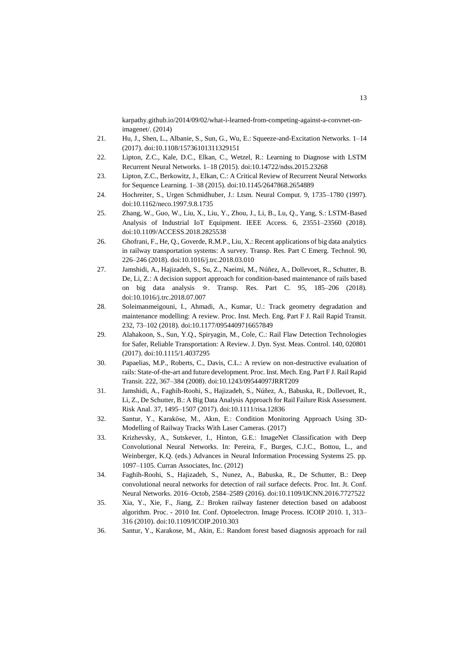karpathy.github.io/2014/09/02/what-i-learned-from-competing-against-a-convnet-onimagenet/. (2014)

- 21. Hu, J., Shen, L., Albanie, S., Sun, G., Wu, E.: Squeeze-and-Excitation Networks. 1–14 (2017). doi:10.1108/15736101311329151
- 22. Lipton, Z.C., Kale, D.C., Elkan, C., Wetzel, R.: Learning to Diagnose with LSTM Recurrent Neural Networks. 1–18 (2015). doi:10.14722/ndss.2015.23268
- 23. Lipton, Z.C., Berkowitz, J., Elkan, C.: A Critical Review of Recurrent Neural Networks for Sequence Learning. 1–38 (2015). doi:10.1145/2647868.2654889
- 24. Hochreiter, S., Urgen Schmidhuber, J.: Ltsm. Neural Comput. 9, 1735–1780 (1997). doi:10.1162/neco.1997.9.8.1735
- 25. Zhang, W., Guo, W., Liu, X., Liu, Y., Zhou, J., Li, B., Lu, Q., Yang, S.: LSTM-Based Analysis of Industrial IoT Equipment. IEEE Access. 6, 23551–23560 (2018). doi:10.1109/ACCESS.2018.2825538
- 26. Ghofrani, F., He, Q., Goverde, R.M.P., Liu, X.: Recent applications of big data analytics in railway transportation systems: A survey. Transp. Res. Part C Emerg. Technol. 90, 226–246 (2018). doi:10.1016/j.trc.2018.03.010
- 27. Jamshidi, A., Hajizadeh, S., Su, Z., Naeimi, M., Núñez, A., Dollevoet, R., Schutter, B. De, Li, Z.: A decision support approach for condition-based maintenance of rails based on big data analysis  $\angle$ . Transp. Res. Part C. 95, 185–206 (2018). doi:10.1016/j.trc.2018.07.007
- 28. Soleimanmeigouni, I., Ahmadi, A., Kumar, U.: Track geometry degradation and maintenance modelling: A review. Proc. Inst. Mech. Eng. Part F J. Rail Rapid Transit. 232, 73–102 (2018). doi:10.1177/0954409716657849
- 29. Alahakoon, S., Sun, Y.Q., Spiryagin, M., Cole, C.: Rail Flaw Detection Technologies for Safer, Reliable Transportation: A Review. J. Dyn. Syst. Meas. Control. 140, 020801 (2017). doi:10.1115/1.4037295
- 30. Papaelias, M.P., Roberts, C., Davis, C.L.: A review on non-destructive evaluation of rails: State-of-the-art and future development. Proc. Inst. Mech. Eng. Part F J. Rail Rapid Transit. 222, 367–384 (2008). doi:10.1243/09544097JRRT209
- 31. Jamshidi, A., Faghih-Roohi, S., Hajizadeh, S., Núñez, A., Babuska, R., Dollevoet, R., Li, Z., De Schutter, B.: A Big Data Analysis Approach for Rail Failure Risk Assessment. Risk Anal. 37, 1495–1507 (2017). doi:10.1111/risa.12836
- 32. Santur, Y., Karaköse, M., Akın, E.: Condition Monitoring Approach Using 3D-Modelling of Railway Tracks With Laser Cameras. (2017)
- 33. Krizhevsky, A., Sutskever, I., Hinton, G.E.: ImageNet Classification with Deep Convolutional Neural Networks. In: Pereira, F., Burges, C.J.C., Bottou, L., and Weinberger, K.Q. (eds.) Advances in Neural Information Processing Systems 25. pp. 1097–1105. Curran Associates, Inc. (2012)
- 34. Faghih-Roohi, S., Hajizadeh, S., Nunez, A., Babuska, R., De Schutter, B.: Deep convolutional neural networks for detection of rail surface defects. Proc. Int. Jt. Conf. Neural Networks. 2016–Octob, 2584–2589 (2016). doi:10.1109/IJCNN.2016.7727522
- 35. Xia, Y., Xie, F., Jiang, Z.: Broken railway fastener detection based on adaboost algorithm. Proc. - 2010 Int. Conf. Optoelectron. Image Process. ICOIP 2010. 1, 313– 316 (2010). doi:10.1109/ICOIP.2010.303
- 36. Santur, Y., Karakose, M., Akin, E.: Random forest based diagnosis approach for rail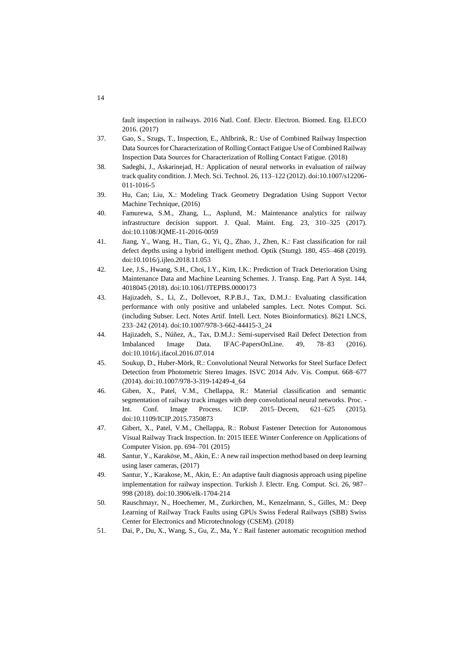fault inspection in railways. 2016 Natl. Conf. Electr. Electron. Biomed. Eng. ELECO 2016. (2017)

- 37. Gao, S., Szugs, T., Inspection, E., Ahlbrink, R.: Use of Combined Railway Inspection Data Sources for Characterization of Rolling Contact Fatigue Use of Combined Railway Inspection Data Sources for Characterization of Rolling Contact Fatigue. (2018)
- 38. Sadeghi, J., Askarinejad, H.: Application of neural networks in evaluation of railway track quality condition. J. Mech. Sci. Technol. 26, 113–122 (2012). doi:10.1007/s12206- 011-1016-5
- 39. Hu, Can; Liu, X.: Modeling Track Geometry Degradation Using Support Vector Machine Technique, (2016)
- 40. Famurewa, S.M., Zhang, L., Asplund, M.: Maintenance analytics for railway infrastructure decision support. J. Qual. Maint. Eng. 23, 310–325 (2017). doi:10.1108/JQME-11-2016-0059
- 41. Jiang, Y., Wang, H., Tian, G., Yi, Q., Zhao, J., Zhen, K.: Fast classification for rail defect depths using a hybrid intelligent method. Optik (Stuttg). 180, 455–468 (2019). doi:10.1016/j.ijleo.2018.11.053
- 42. Lee, J.S., Hwang, S.H., Choi, I.Y., Kim, I.K.: Prediction of Track Deterioration Using Maintenance Data and Machine Learning Schemes. J. Transp. Eng. Part A Syst. 144, 4018045 (2018). doi:10.1061/JTEPBS.0000173
- 43. Hajizadeh, S., Li, Z., Dollevoet, R.P.B.J., Tax, D.M.J.: Evaluating classification performance with only positive and unlabeled samples. Lect. Notes Comput. Sci. (including Subser. Lect. Notes Artif. Intell. Lect. Notes Bioinformatics). 8621 LNCS, 233–242 (2014). doi:10.1007/978-3-662-44415-3\_24
- 44. Hajizadeh, S., Núñez, A., Tax, D.M.J.: Semi-supervised Rail Defect Detection from Imbalanced Image Data. IFAC-PapersOnLine. 49, 78–83 (2016). doi:10.1016/j.ifacol.2016.07.014
- 45. Soukup, D., Huber-Mörk, R.: Convolutional Neural Networks for Steel Surface Defect Detection from Photometric Stereo Images. ISVC 2014 Adv. Vis. Comput. 668–677 (2014). doi:10.1007/978-3-319-14249-4\_64
- 46. Giben, X., Patel, V.M., Chellappa, R.: Material classification and semantic segmentation of railway track images with deep convolutional neural networks. Proc. - Int. Conf. Image Process. ICIP. 2015–Decem, 621–625 (2015). doi:10.1109/ICIP.2015.7350873
- 47. Gibert, X., Patel, V.M., Chellappa, R.: Robust Fastener Detection for Autonomous Visual Railway Track Inspection. In: 2015 IEEE Winter Conference on Applications of Computer Vision. pp. 694–701 (2015)
- 48. Santur, Y., Karaköse, M., Akin, E.: A new rail inspection method based on deep learning using laser cameras, (2017)
- 49. Santur, Y., Karakose, M., Akin, E.: An adaptive fault diagnosis approach using pipeline implementation for railway inspection. Turkish J. Electr. Eng. Comput. Sci. 26, 987– 998 (2018). doi:10.3906/elk-1704-214
- 50. Rauschmayr, N., Hoechemer, M., Zurkirchen, M., Kenzelmann, S., Gilles, M.: Deep Learning of Railway Track Faults using GPUs Swiss Federal Railways (SBB) Swiss Center for Electronics and Microtechnology (CSEM). (2018)
- 51. Dai, P., Du, X., Wang, S., Gu, Z., Ma, Y.: Rail fastener automatic recognition method

14